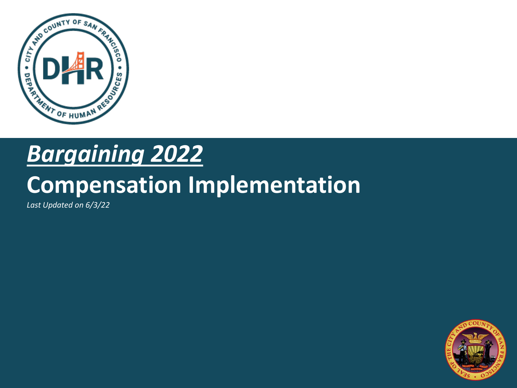

#### *Bargaining 2022*

#### **Compensation Implementation**

*Last Updated on 6/3/22*

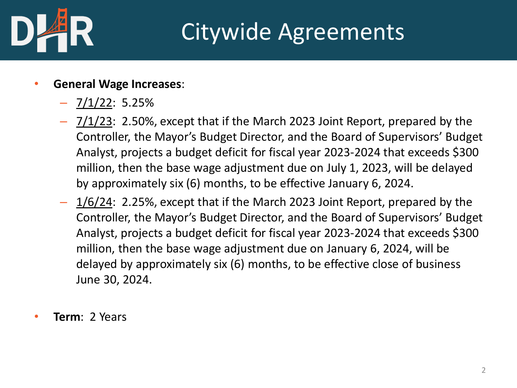

#### Citywide Agreements

- **General Wage Increases**:
	- $7/1/22$ : 5.25%
	- 7/1/23: 2.50%, except that if the March 2023 Joint Report, prepared by the Controller, the Mayor's Budget Director, and the Board of Supervisors' Budget Analyst, projects a budget deficit for fiscal year 2023-2024 that exceeds \$300 million, then the base wage adjustment due on July 1, 2023, will be delayed by approximately six (6) months, to be effective January 6, 2024.
	- 1/6/24: 2.25%, except that if the March 2023 Joint Report, prepared by the Controller, the Mayor's Budget Director, and the Board of Supervisors' Budget Analyst, projects a budget deficit for fiscal year 2023-2024 that exceeds \$300 million, then the base wage adjustment due on January 6, 2024, will be delayed by approximately six (6) months, to be effective close of business June 30, 2024.
- **Term**: 2 Years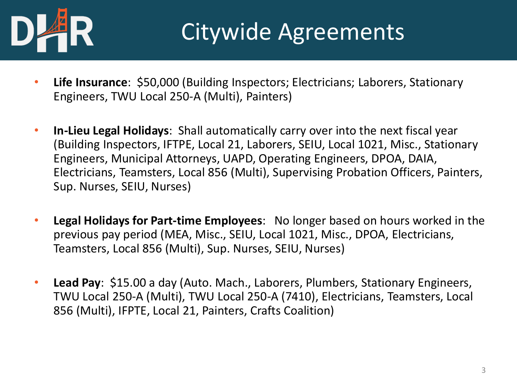

#### Citywide Agreements

- **Life Insurance**: \$50,000 (Building Inspectors; Electricians; Laborers, Stationary Engineers, TWU Local 250-A (Multi), Painters)
- **In-Lieu Legal Holidays**: Shall automatically carry over into the next fiscal year (Building Inspectors, IFTPE, Local 21, Laborers, SEIU, Local 1021, Misc., Stationary Engineers, Municipal Attorneys, UAPD, Operating Engineers, DPOA, DAIA, Electricians, Teamsters, Local 856 (Multi), Supervising Probation Officers, Painters, Sup. Nurses, SEIU, Nurses)
- **Legal Holidays for Part-time Employees**: No longer based on hours worked in the previous pay period (MEA, Misc., SEIU, Local 1021, Misc., DPOA, Electricians, Teamsters, Local 856 (Multi), Sup. Nurses, SEIU, Nurses)
- **Lead Pay**: \$15.00 a day (Auto. Mach., Laborers, Plumbers, Stationary Engineers, TWU Local 250-A (Multi), TWU Local 250-A (7410), Electricians, Teamsters, Local 856 (Multi), IFPTE, Local 21, Painters, Crafts Coalition)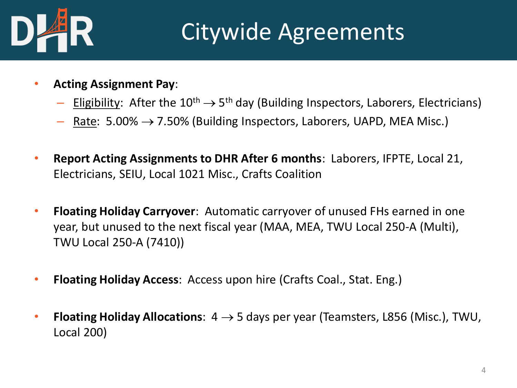

#### Citywide Agreements

- **Acting Assignment Pay**:
	- $-$  Eligibility: After the  $10^{th} \rightarrow 5^{th}$  day (Building Inspectors, Laborers, Electricians)
	- Rate:  $5.00\% \rightarrow 7.50\%$  (Building Inspectors, Laborers, UAPD, MEA Misc.)
- **Report Acting Assignments to DHR After 6 months**: Laborers, IFPTE, Local 21, Electricians, SEIU, Local 1021 Misc., Crafts Coalition
- **Floating Holiday Carryover**: Automatic carryover of unused FHs earned in one year, but unused to the next fiscal year (MAA, MEA, TWU Local 250-A (Multi), TWU Local 250-A (7410))
- **Floating Holiday Access**: Access upon hire (Crafts Coal., Stat. Eng.)
- **Floating Holiday Allocations:**  $4 \rightarrow 5$  days per year (Teamsters, L856 (Misc.), TWU, Local 200)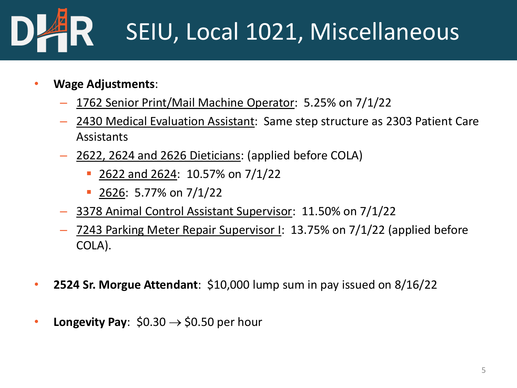# SEIU, Local 1021, Miscellaneous

- **Wage Adjustments**:
	- 1762 Senior Print/Mail Machine Operator: 5.25% on 7/1/22
	- 2430 Medical Evaluation Assistant: Same step structure as 2303 Patient Care Assistants
	- 2622, 2624 and 2626 Dieticians: (applied before COLA)
		- 2622 and 2624: 10.57% on 7/1/22
		- $\blacksquare$  2626: 5.77% on 7/1/22
	- 3378 Animal Control Assistant Supervisor: 11.50% on 7/1/22
	- 7243 Parking Meter Repair Supervisor I: 13.75% on 7/1/22 (applied before COLA).
- **2524 Sr. Morgue Attendant**: \$10,000 lump sum in pay issued on 8/16/22
- **Longevity Pay**:  $$0.30 \rightarrow $0.50$  per hour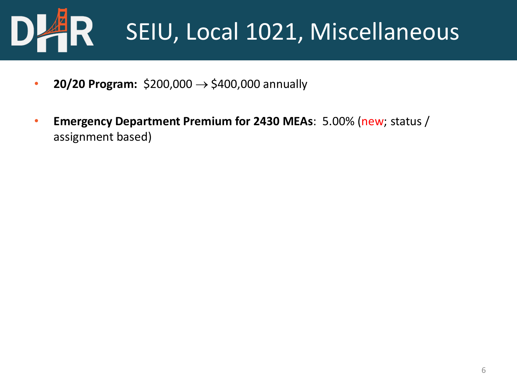

- **20/20 Program:** \$200,000 → \$400,000 annually
- **Emergency Department Premium for 2430 MEAs**: 5.00% (new; status / assignment based)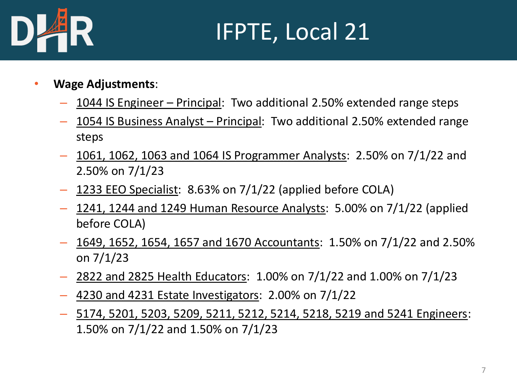

# IFPTE, Local 21

- **Wage Adjustments**:
	- 1044 IS Engineer Principal: Two additional 2.50% extended range steps
	- 1054 IS Business Analyst Principal: Two additional 2.50% extended range steps
	- 1061, 1062, 1063 and 1064 IS Programmer Analysts: 2.50% on 7/1/22 and 2.50% on 7/1/23
	- 1233 EEO Specialist: 8.63% on 7/1/22 (applied before COLA)
	- $-$  1241, 1244 and 1249 Human Resource Analysts: 5.00% on 7/1/22 (applied before COLA)
	- 1649, 1652, 1654, 1657 and 1670 Accountants: 1.50% on 7/1/22 and 2.50% on 7/1/23
	- 2822 and 2825 Health Educators: 1.00% on 7/1/22 and 1.00% on 7/1/23
	- 4230 and 4231 Estate Investigators: 2.00% on 7/1/22
	- 5174, 5201, 5203, 5209, 5211, 5212, 5214, 5218, 5219 and 5241 Engineers: 1.50% on 7/1/22 and 1.50% on 7/1/23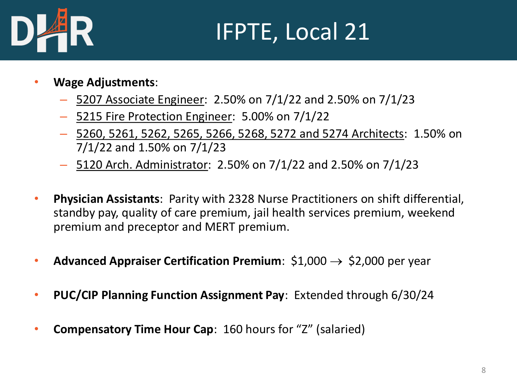

# IFPTE, Local 21

- **Wage Adjustments**:
	- 5207 Associate Engineer: 2.50% on 7/1/22 and 2.50% on 7/1/23
	- 5215 Fire Protection Engineer: 5.00% on 7/1/22
	- 5260, 5261, 5262, 5265, 5266, 5268, 5272 and 5274 Architects: 1.50% on 7/1/22 and 1.50% on 7/1/23
	- 5120 Arch. Administrator: 2.50% on 7/1/22 and 2.50% on 7/1/23
- **Physician Assistants**: Parity with 2328 Nurse Practitioners on shift differential, standby pay, quality of care premium, jail health services premium, weekend premium and preceptor and MERT premium.
- **Advanced Appraiser Certification Premium**:  $$1,000 \rightarrow $2,000$  per year
- **PUC/CIP Planning Function Assignment Pay**: Extended through 6/30/24
- **Compensatory Time Hour Cap**: 160 hours for "Z" (salaried)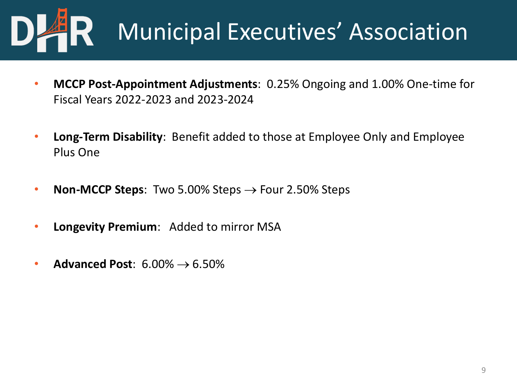

# Municipal Executives' Association

- **MCCP Post-Appointment Adjustments**: 0.25% Ongoing and 1.00% One-time for Fiscal Years 2022-2023 and 2023-2024
- **Long-Term Disability**: Benefit added to those at Employee Only and Employee Plus One
- **Non-MCCP Steps**: Two 5.00% Steps → Four 2.50% Steps
- **Longevity Premium**: Added to mirror MSA
- **Advanced Post**: 6.00% → 6.50%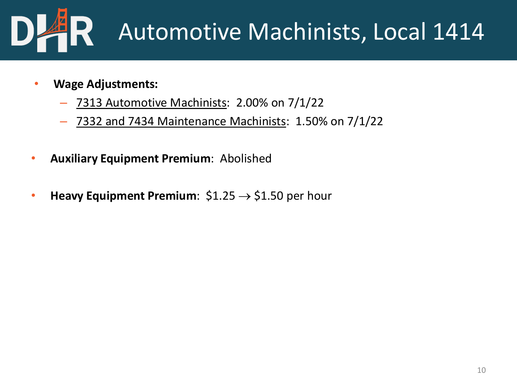

# Automotive Machinists, Local 1414

- **Wage Adjustments:**
	- 7313 Automotive Machinists: 2.00% on 7/1/22
	- 7332 and 7434 Maintenance Machinists: 1.50% on 7/1/22
- **Auxiliary Equipment Premium**: Abolished
- **Heavy Equipment Premium**:  $$1.25 \rightarrow $1.50$  per hour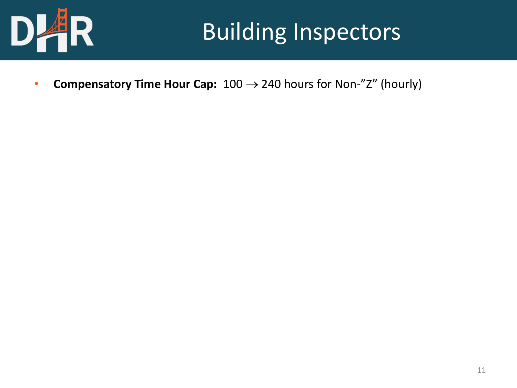

#### Building Inspectors

• **Compensatory Time Hour Cap:** 100 → 240 hours for Non-"Z" (hourly)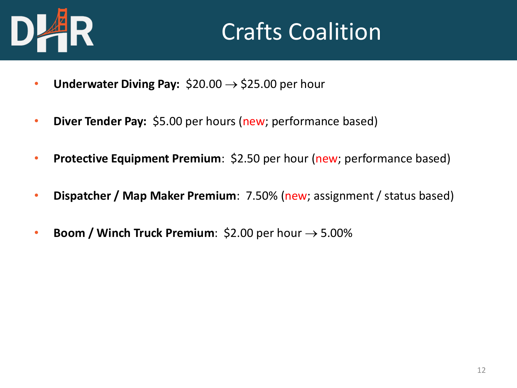

## Crafts Coalition

- **Underwater Diving Pay:**  $$20.00 \rightarrow $25.00$  per hour
- **Diver Tender Pay:** \$5.00 per hours (new; performance based)
- **Protective Equipment Premium**: \$2.50 per hour (new; performance based)
- **Dispatcher / Map Maker Premium**: 7.50% (new; assignment / status based)
- **Boom / Winch Truck Premium**:  $$2.00$  per hour  $\rightarrow$  5.00%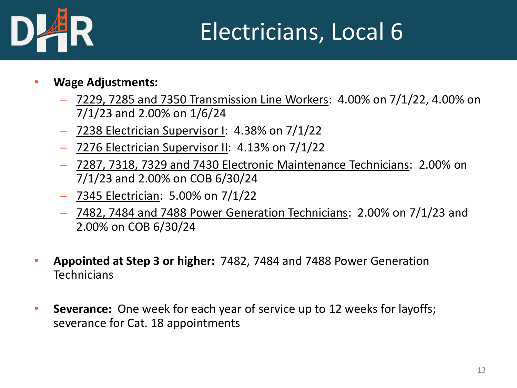

# Electricians, Local 6

- **Wage Adjustments:**
	- 7229, 7285 and 7350 Transmission Line Workers: 4.00% on 7/1/22, 4.00% on 7/1/23 and 2.00% on 1/6/24
	- 7238 Electrician Supervisor I: 4.38% on 7/1/22
	- 7276 Electrician Supervisor II: 4.13% on 7/1/22
	- 7287, 7318, 7329 and 7430 Electronic Maintenance Technicians: 2.00% on 7/1/23 and 2.00% on COB 6/30/24
	- 7345 Electrician: 5.00% on 7/1/22
	- 7482, 7484 and 7488 Power Generation Technicians: 2.00% on 7/1/23 and 2.00% on COB 6/30/24
- **Appointed at Step 3 or higher:** 7482, 7484 and 7488 Power Generation **Technicians**
- **Severance:** One week for each year of service up to 12 weeks for layoffs; severance for Cat. 18 appointments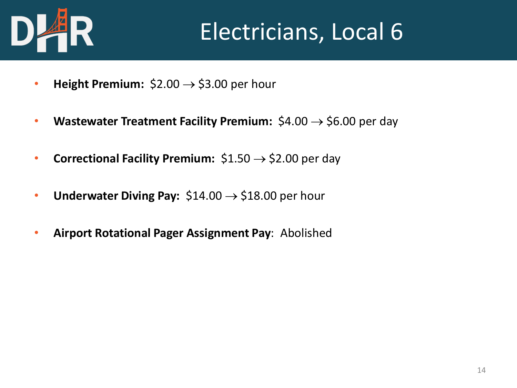

# Electricians, Local 6

- **Height Premium:**  $$2.00 \rightarrow $3.00$  per hour
- **Wastewater Treatment Facility Premium:** \$4.00 → \$6.00 per day
- **Correctional Facility Premium:** \$1.50 → \$2.00 per day
- **Underwater Diving Pay:** \$14.00 → \$18.00 per hour
- **Airport Rotational Pager Assignment Pay**: Abolished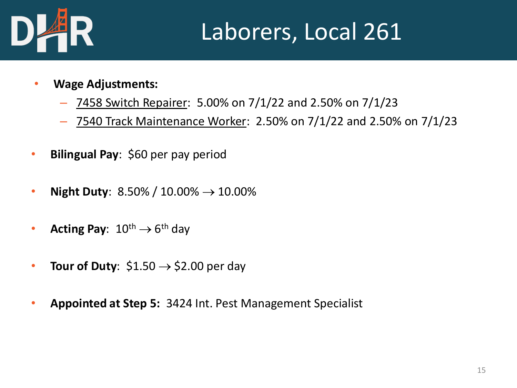

#### Laborers, Local 261

- **Wage Adjustments:**
	- 7458 Switch Repairer: 5.00% on 7/1/22 and 2.50% on 7/1/23
	- 7540 Track Maintenance Worker: 2.50% on 7/1/22 and 2.50% on 7/1/23
- **Bilingual Pay**: \$60 per pay period
- **Night Duty**:  $8.50\% / 10.00\% \rightarrow 10.00\%$
- Acting Pay:  $10^{\text{th}} \rightarrow 6^{\text{th}}$  day
- **Tour of Duty**:  $$1.50 \rightarrow $2.00$  per day
- **Appointed at Step 5:** 3424 Int. Pest Management Specialist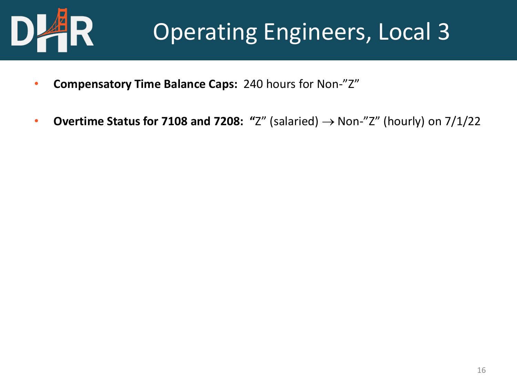

# Operating Engineers, Local 3

- **Compensatory Time Balance Caps:** 240 hours for Non-"Z"
- **Overtime Status for 7108 and 7208: "**Z" (salaried) → Non-"Z" (hourly) on 7/1/22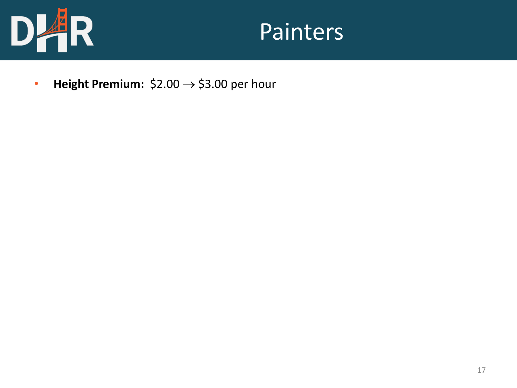

#### Painters

• **Height Premium:** \$2.00 → \$3.00 per hour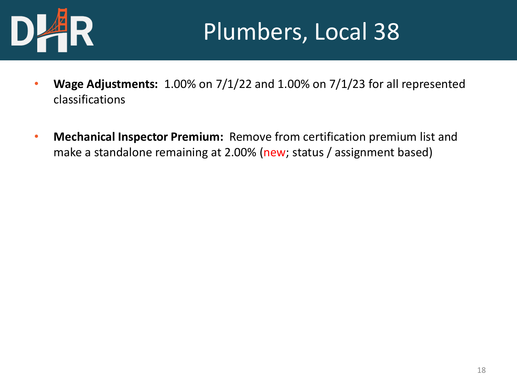

## Plumbers, Local 38

- **Wage Adjustments:** 1.00% on 7/1/22 and 1.00% on 7/1/23 for all represented classifications
- **Mechanical Inspector Premium:** Remove from certification premium list and make a standalone remaining at 2.00% (new; status / assignment based)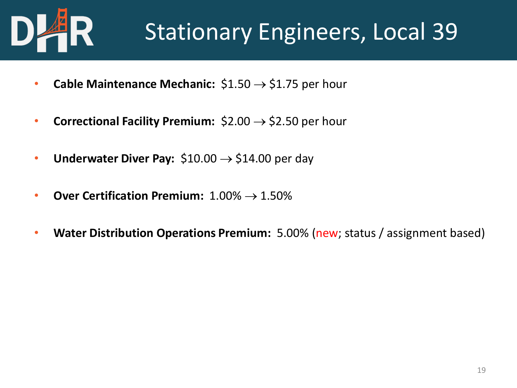

## Stationary Engineers, Local 39

- **Cable Maintenance Mechanic:**  $$1.50 \rightarrow $1.75$  per hour
- **Correctional Facility Premium:** \$2.00 → \$2.50 per hour
- **Underwater Diver Pay:**  $$10.00 \rightarrow $14.00$  per day
- **Over Certification Premium:** 1.00% → 1.50%
- **Water Distribution Operations Premium:** 5.00% (new; status / assignment based)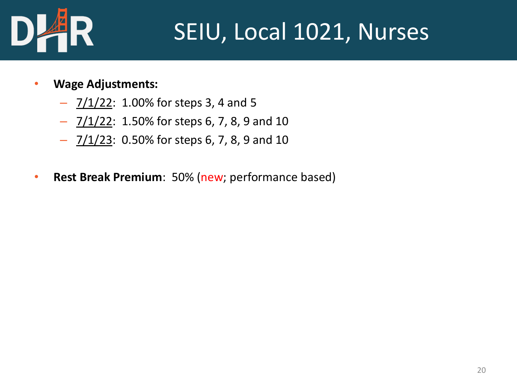

# SEIU, Local 1021, Nurses

- **Wage Adjustments:**
	- $\frac{7}{122}$ : 1.00% for steps 3, 4 and 5
	- $7/1/22$ : 1.50% for steps 6, 7, 8, 9 and 10
	- $7/1/23$ : 0.50% for steps 6, 7, 8, 9 and 10
- **Rest Break Premium**: 50% (new; performance based)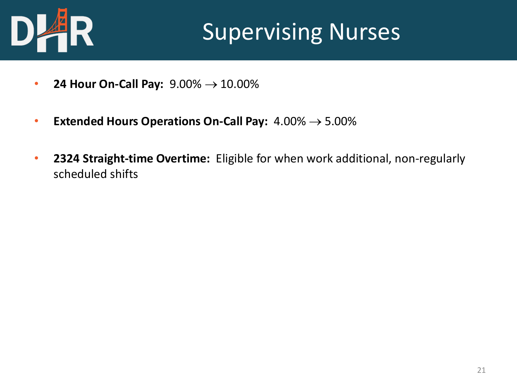

## **Supervising Nurses**

- **24 Hour On-Call Pay:** 9.00% → 10.00%
- **Extended Hours Operations On-Call Pay:** 4.00% → 5.00%
- **2324 Straight-time Overtime:** Eligible for when work additional, non-regularly scheduled shifts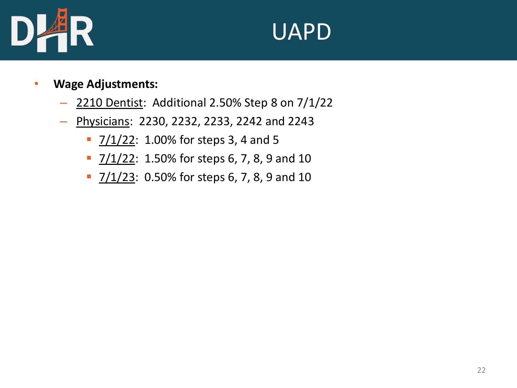

#### **UAPD**

- **Wage Adjustments:**
	- 2210 Dentist: Additional 2.50% Step 8 on 7/1/22
	- Physicians: 2230, 2232, 2233, 2242 and 2243
		- $\frac{7}{1/22}$ : 1.00% for steps 3, 4 and 5
		- $\frac{7}{122}$ : 1.50% for steps 6, 7, 8, 9 and 10
		- 7/1/23: 0.50% for steps 6, 7, 8, 9 and 10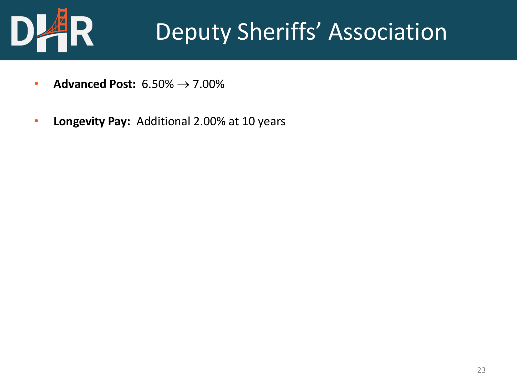

# Deputy Sheriffs' Association

- **Advanced Post:** 6.50% → 7.00%
- **Longevity Pay:** Additional 2.00% at 10 years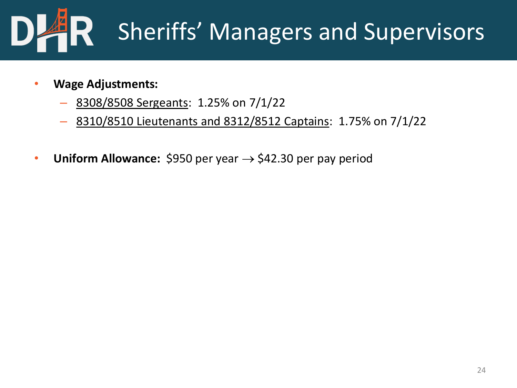

- **Wage Adjustments:**
	- 8308/8508 Sergeants: 1.25% on 7/1/22
	- 8310/8510 Lieutenants and 8312/8512 Captains: 1.75% on 7/1/22
- **Uniform Allowance:**  $$950$  per year  $\rightarrow$   $$42.30$  per pay period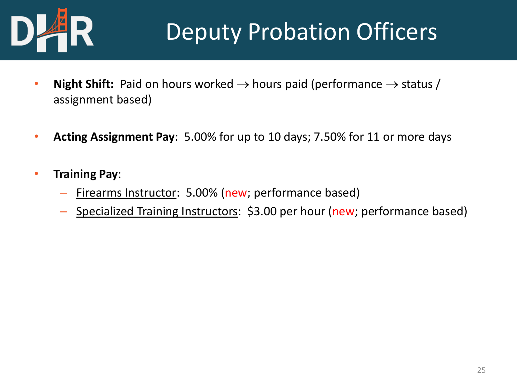

# Deputy Probation Officers

- **Night Shift:** Paid on hours worked  $\rightarrow$  hours paid (performance  $\rightarrow$  status / assignment based)
- **Acting Assignment Pay**: 5.00% for up to 10 days; 7.50% for 11 or more days
- **Training Pay**:
	- Firearms Instructor: 5.00% (new; performance based)
	- Specialized Training Instructors: \$3.00 per hour (new; performance based)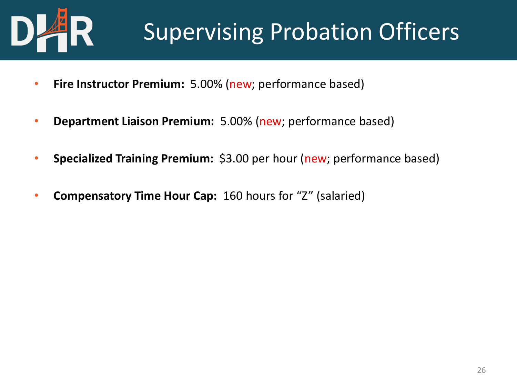

# Supervising Probation Officers

- **Fire Instructor Premium:** 5.00% (new; performance based)
- **Department Liaison Premium:** 5.00% (new; performance based)
- **Specialized Training Premium:** \$3.00 per hour (new; performance based)
- **Compensatory Time Hour Cap:** 160 hours for "Z" (salaried)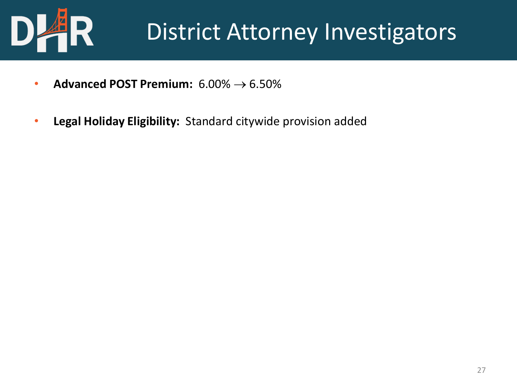

## District Attorney Investigators

- **Advanced POST Premium:** 6.00% → 6.50%
- **Legal Holiday Eligibility:** Standard citywide provision added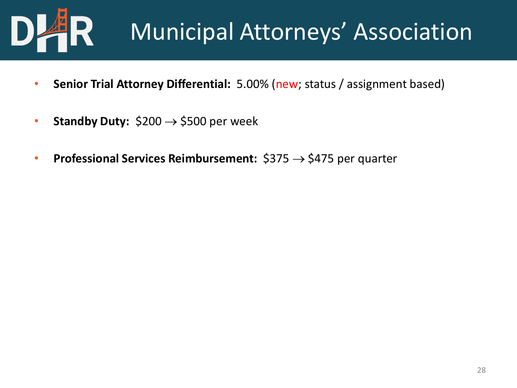

# Municipal Attorneys' Association

- **Senior Trial Attorney Differential:** 5.00% (new; status / assignment based)
- **Standby Duty:**  $$200 \rightarrow $500$  per week
- **Professional Services Reimbursement:** \$375 → \$475 per quarter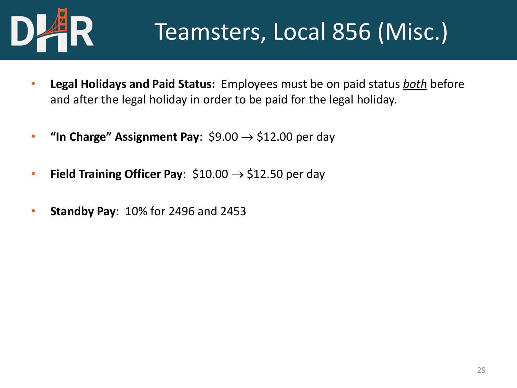

# Teamsters, Local 856 (Misc.)

- **Legal Holidays and Paid Status:** Employees must be on paid status *both* before and after the legal holiday in order to be paid for the legal holiday.
- **"In Charge" Assignment Pay**:  $$9.00 \rightarrow $12.00$  per day
- **Field Training Officer Pay**:  $$10.00 \rightarrow $12.50$  per day
- **Standby Pay**: 10% for 2496 and 2453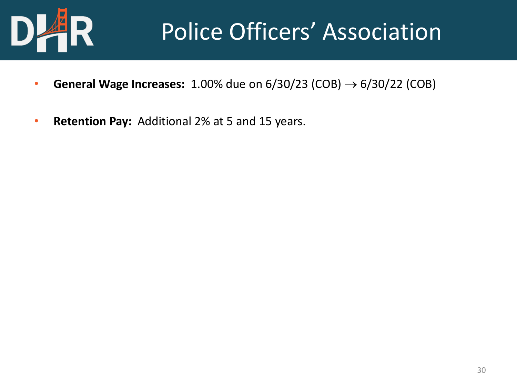

# Police Officers' Association

- **General Wage Increases:** 1.00% due on  $6/30/23$  (COB)  $\rightarrow 6/30/22$  (COB)
- **Retention Pay:** Additional 2% at 5 and 15 years.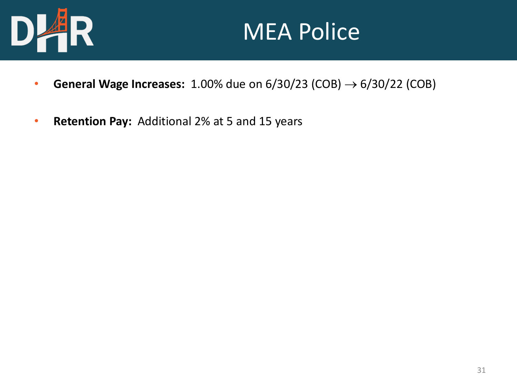

#### MEA Police

- **General Wage Increases:** 1.00% due on  $6/30/23$  (COB)  $\rightarrow 6/30/22$  (COB)
- **Retention Pay:** Additional 2% at 5 and 15 years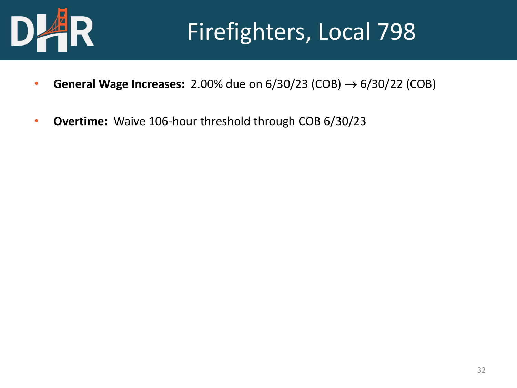

# Firefighters, Local 798

- **General Wage Increases:** 2.00% due on  $6/30/23$  (COB)  $\rightarrow 6/30/22$  (COB)
- **Overtime:** Waive 106-hour threshold through COB 6/30/23